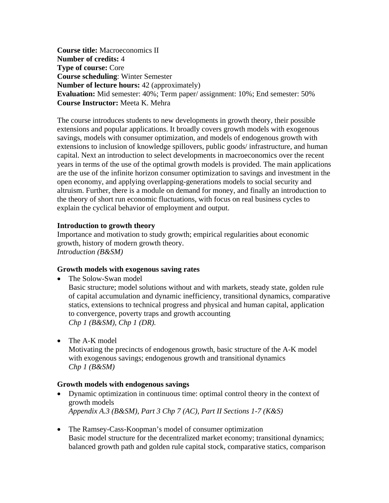**Course title:** Macroeconomics II **Number of credits:** 4 **Type of course:** Core **Course scheduling**: Winter Semester **Number of lecture hours:** 42 (approximately) **Evaluation:** Mid semester: 40%; Term paper/ assignment: 10%; End semester: 50% **Course Instructor:** Meeta K. Mehra

The course introduces students to new developments in growth theory, their possible extensions and popular applications. It broadly covers growth models with exogenous savings, models with consumer optimization, and models of endogenous growth with extensions to inclusion of knowledge spillovers, public goods/ infrastructure, and human capital. Next an introduction to select developments in macroeconomics over the recent years in terms of the use of the optimal growth models is provided. The main applications are the use of the infinite horizon consumer optimization to savings and investment in the open economy, and applying overlapping-generations models to social security and altruism. Further, there is a module on demand for money, and finally an introduction to the theory of short run economic fluctuations, with focus on real business cycles to explain the cyclical behavior of employment and output.

#### **Introduction to growth theory**

Importance and motivation to study growth; empirical regularities about economic growth, history of modern growth theory. *Introduction (B&SM)* 

#### **Growth models with exogenous saving rates**

• The Solow-Swan model

Basic structure; model solutions without and with markets, steady state, golden rule of capital accumulation and dynamic inefficiency, transitional dynamics, comparative statics, extensions to technical progress and physical and human capital, application to convergence, poverty traps and growth accounting *Chp 1 (B&SM), Chp 1 (DR).* 

• The A-K model

Motivating the precincts of endogenous growth, basic structure of the A-K model with exogenous savings; endogenous growth and transitional dynamics *Chp 1 (B&SM)* 

#### **Growth models with endogenous savings**

- Dynamic optimization in continuous time: optimal control theory in the context of growth models *Appendix A.3 (B&SM), Part 3 Chp 7 (AC), Part II Sections 1-7 (K&S)*
- The Ramsey-Cass-Koopman's model of consumer optimization Basic model structure for the decentralized market economy; transitional dynamics; balanced growth path and golden rule capital stock, comparative statics, comparison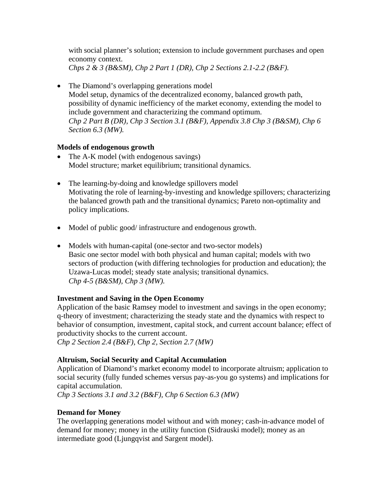with social planner's solution; extension to include government purchases and open economy context.

*Chps 2 & 3 (B&SM), Chp 2 Part 1 (DR), Chp 2 Sections 2.1-2.2 (B&F).* 

• The Diamond's overlapping generations model Model setup, dynamics of the decentralized economy, balanced growth path, possibility of dynamic inefficiency of the market economy, extending the model to include government and characterizing the command optimum. *Chp 2 Part B (DR), Chp 3 Section 3.1 (B&F), Appendix 3.8 Chp 3 (B&SM), Chp 6 Section 6.3 (MW).* 

### **Models of endogenous growth**

- The A-K model (with endogenous savings) Model structure; market equilibrium; transitional dynamics.
- The learning-by-doing and knowledge spillovers model Motivating the role of learning-by-investing and knowledge spillovers; characterizing the balanced growth path and the transitional dynamics; Pareto non-optimality and policy implications.
- Model of public good/ infrastructure and endogenous growth.
- Models with human-capital (one-sector and two-sector models) Basic one sector model with both physical and human capital; models with two sectors of production (with differing technologies for production and education); the Uzawa-Lucas model; steady state analysis; transitional dynamics. *Chp 4-5 (B&SM), Chp 3 (MW).*

## **Investment and Saving in the Open Economy**

Application of the basic Ramsey model to investment and savings in the open economy; q-theory of investment; characterizing the steady state and the dynamics with respect to behavior of consumption, investment, capital stock, and current account balance; effect of productivity shocks to the current account.

*Chp 2 Section 2.4 (B&F), Chp 2, Section 2.7 (MW)* 

# **Altruism, Social Security and Capital Accumulation**

Application of Diamond's market economy model to incorporate altruism; application to social security (fully funded schemes versus pay-as-you go systems) and implications for capital accumulation.

*Chp 3 Sections 3.1 and 3.2 (B&F), Chp 6 Section 6.3 (MW)* 

## **Demand for Money**

The overlapping generations model without and with money; cash-in-advance model of demand for money; money in the utility function (Sidrauski model); money as an intermediate good (Ljungqvist and Sargent model).